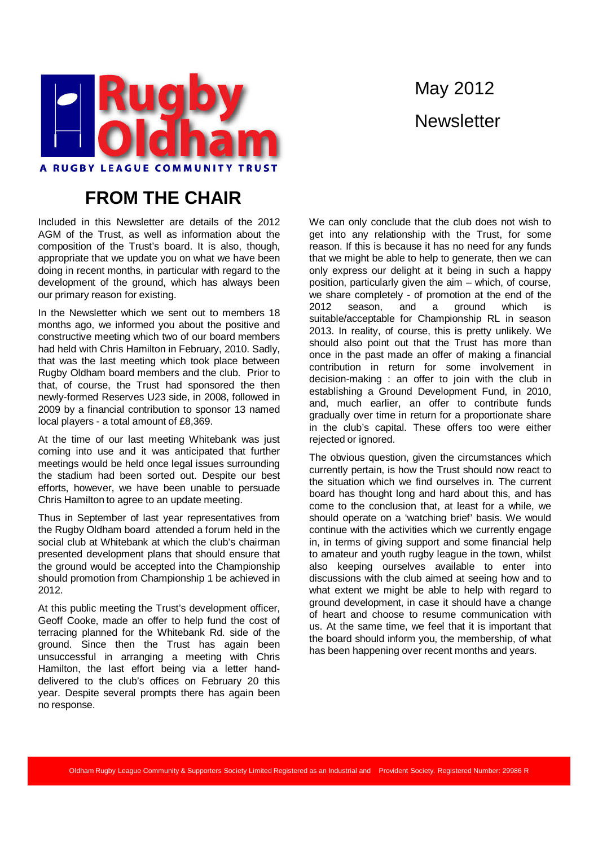

# May 2012 **Newsletter**

#### **FROM THE CHAIR**

Included in this Newsletter are details of the 2012 AGM of the Trust, as well as information about the composition of the Trust's board. It is also, though, appropriate that we update you on what we have been doing in recent months, in particular with regard to the development of the ground, which has always been our primary reason for existing.

In the Newsletter which we sent out to members 18 months ago, we informed you about the positive and constructive meeting which two of our board members had held with Chris Hamilton in February, 2010. Sadly, that was the last meeting which took place between Rugby Oldham board members and the club. Prior to that, of course, the Trust had sponsored the then newly-formed Reserves U23 side, in 2008, followed in 2009 by a financial contribution to sponsor 13 named local players - a total amount of £8,369.

At the time of our last meeting Whitebank was just coming into use and it was anticipated that further meetings would be held once legal issues surrounding the stadium had been sorted out. Despite our best efforts, however, we have been unable to persuade Chris Hamilton to agree to an update meeting.

Thus in September of last year representatives from the Rugby Oldham board attended a forum held in the social club at Whitebank at which the club's chairman presented development plans that should ensure that the ground would be accepted into the Championship should promotion from Championship 1 be achieved in 2012.

At this public meeting the Trust's development officer, Geoff Cooke, made an offer to help fund the cost of terracing planned for the Whitebank Rd. side of the ground. Since then the Trust has again been unsuccessful in arranging a meeting with Chris Hamilton, the last effort being via a letter handdelivered to the club's offices on February 20 this year. Despite several prompts there has again been no response.

We can only conclude that the club does not wish to get into any relationship with the Trust, for some reason. If this is because it has no need for any funds that we might be able to help to generate, then we can only express our delight at it being in such a happy position, particularly given the aim – which, of course, we share completely - of promotion at the end of the 2012 season, and a ground which is suitable/acceptable for Championship RL in season 2013. In reality, of course, this is pretty unlikely. We should also point out that the Trust has more than once in the past made an offer of making a financial contribution in return for some involvement in decision-making : an offer to join with the club in establishing a Ground Development Fund, in 2010, and, much earlier, an offer to contribute funds gradually over time in return for a proportionate share in the club's capital. These offers too were either rejected or ignored.

The obvious question, given the circumstances which currently pertain, is how the Trust should now react to the situation which we find ourselves in. The current board has thought long and hard about this, and has come to the conclusion that, at least for a while, we should operate on a 'watching brief' basis. We would continue with the activities which we currently engage in, in terms of giving support and some financial help to amateur and youth rugby league in the town, whilst also keeping ourselves available to enter into discussions with the club aimed at seeing how and to what extent we might be able to help with regard to ground development, in case it should have a change of heart and choose to resume communication with us. At the same time, we feel that it is important that the board should inform you, the membership, of what has been happening over recent months and years.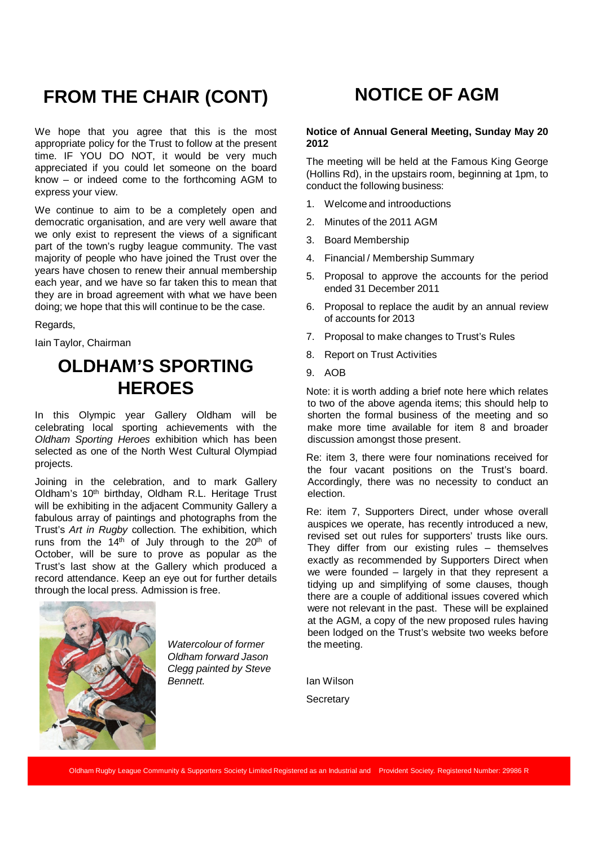# **FROM THE CHAIR (CONT)**

We hope that you agree that this is the most appropriate policy for the Trust to follow at the present time. IF YOU DO NOT, it would be very much appreciated if you could let someone on the board know – or indeed come to the forthcoming AGM to express your view.

We continue to aim to be a completely open and democratic organisation, and are very well aware that we only exist to represent the views of a significant part of the town's rugby league community. The vast majority of people who have joined the Trust over the years have chosen to renew their annual membership each year, and we have so far taken this to mean that they are in broad agreement with what we have been doing; we hope that this will continue to be the case.

Regards,

Iain Taylor, Chairman

#### **OLDHAM'S SPORTING HEROES**

In this Olympic year Gallery Oldham will be celebrating local sporting achievements with the Oldham Sporting Heroes exhibition which has been selected as one of the North West Cultural Olympiad projects.

Joining in the celebration, and to mark Gallery Oldham's 10th birthday, Oldham R.L. Heritage Trust will be exhibiting in the adiacent Community Gallery a fabulous array of paintings and photographs from the Trust's Art in Rugby collection. The exhibition, which runs from the 14<sup>th</sup> of July through to the 20<sup>th</sup> of October, will be sure to prove as popular as the Trust's last show at the Gallery which produced a record attendance. Keep an eye out for further details through the local press. Admission is free.



Watercolour of former Oldham forward Jason Clegg painted by Steve Bennett.

#### **NOTICE OF AGM**

#### **Notice of Annual General Meeting, Sunday May 20 2012**

The meeting will be held at the Famous King George (Hollins Rd), in the upstairs room, beginning at 1pm, to conduct the following business:

- 1. Welcome and introoductions
- 2. Minutes of the 2011 AGM
- 3. Board Membership
- 4. Financial / Membership Summary
- 5. Proposal to approve the accounts for the period ended 31 December 2011
- 6. Proposal to replace the audit by an annual review of accounts for 2013
- 7. Proposal to make changes to Trust's Rules
- 8. Report on Trust Activities
- 9. AOB

Note: it is worth adding a brief note here which relates to two of the above agenda items; this should help to shorten the formal business of the meeting and so make more time available for item 8 and broader discussion amongst those present.

Re: item 3, there were four nominations received for the four vacant positions on the Trust's board. Accordingly, there was no necessity to conduct an election.

Re: item 7, Supporters Direct, under whose overall auspices we operate, has recently introduced a new, revised set out rules for supporters' trusts like ours. They differ from our existing rules – themselves exactly as recommended by Supporters Direct when we were founded – largely in that they represent a tidying up and simplifying of some clauses, though there are a couple of additional issues covered which were not relevant in the past. These will be explained at the AGM, a copy of the new proposed rules having been lodged on the Trust's website two weeks before the meeting.

Ian Wilson

**Secretary**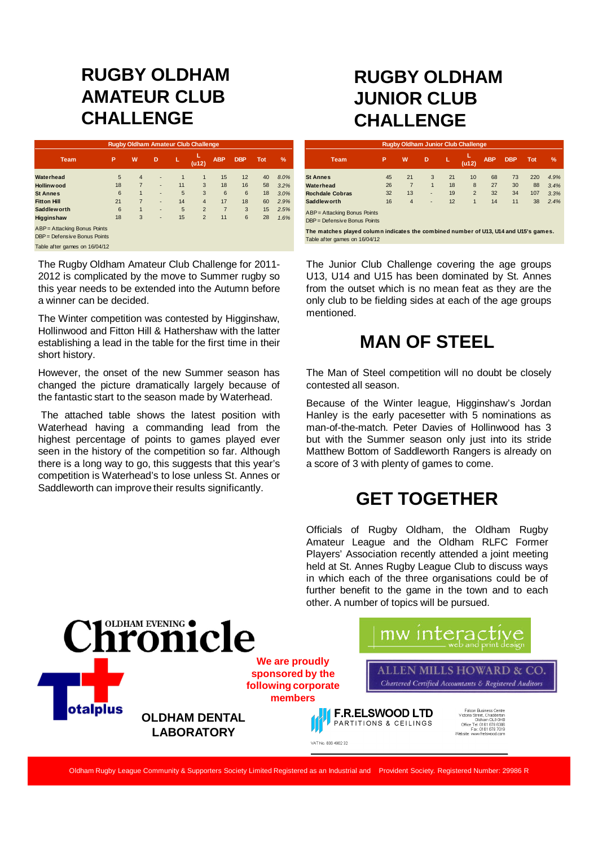## **RUGBY OLDHAM AMATEUR CLUB CHALLENGE**

| <b>Rugby Oldham Amateur Club Challenge</b> |    |                |   |              |                |                |            |            |      |  |
|--------------------------------------------|----|----------------|---|--------------|----------------|----------------|------------|------------|------|--|
| Team                                       | P  | W              | D | L            | (412)          | <b>ABP</b>     | <b>DBP</b> | <b>Tot</b> | $\%$ |  |
| Waterhead                                  | 5  | $\overline{4}$ | ٠ | $\mathbf{1}$ | $\mathbf{1}$   | 15             | 12         | 40         | 8.0% |  |
| <b>Hollinwood</b>                          | 18 | $\overline{7}$ | ٠ | 11           | 3              | 18             | 16         | 58         | 3.2% |  |
| <b>St Annes</b>                            | 6  | 1              | ٠ | 5            | 3              | 6              | 6          | 18         | 3.0% |  |
| <b>Fitton Hill</b>                         | 21 | 7              | ٠ | 14           | $\overline{4}$ | 17             | 18         | 60         | 2.9% |  |
| <b>Saddleworth</b>                         | 6  | 1              | ٠ | 5            | $\overline{2}$ | $\overline{7}$ | 3          | 15         | 2.5% |  |
| <b>Higginshaw</b>                          | 18 | 3              | ٠ | 15           | $\overline{2}$ | 11             | 6          | 28         | 1.6% |  |
| ABP = Attacking Bonus Points               |    |                |   |              |                |                |            |            |      |  |
| DBP = Defensive Bonus Points               |    |                |   |              |                |                |            |            |      |  |
| Table after games on 16/04/12              |    |                |   |              |                |                |            |            |      |  |

The Rugby Oldham Amateur Club Challenge for 2011- 2012 is complicated by the move to Summer rugby so this year needs to be extended into the Autumn before a winner can be decided.

The Winter competition was contested by Higginshaw. Hollinwood and Fitton Hill & Hathershaw with the latter establishing a lead in the table for the first time in their short history.

However, the onset of the new Summer season has changed the picture dramatically largely because of the fantastic start to the season made by Waterhead.

The attached table shows the latest position with Waterhead having a commanding lead from the highest percentage of points to games played ever seen in the history of the competition so far. Although there is a long way to go, this suggests that this year's competition is Waterhead's to lose unless St. Annes or Saddleworth can improve their results significantly.

# **RUGBY OLDHAM JUNIOR CLUB CHALLENGE**

| <b>Rugby Oldham Junior Club Challenge</b>                                                                             |    |                |              |    |                |            |            |            |               |  |
|-----------------------------------------------------------------------------------------------------------------------|----|----------------|--------------|----|----------------|------------|------------|------------|---------------|--|
| Team                                                                                                                  | P  | W              | D            | L  | L<br>(412)     | <b>ABP</b> | <b>DBP</b> | <b>Tot</b> | $\frac{9}{6}$ |  |
| <b>St Annes</b>                                                                                                       | 45 | 21             | 3            | 21 | 10             | 68         | 73         | 220        | 4.9%          |  |
| Waterhead                                                                                                             | 26 | $\overline{7}$ | $\mathbf{1}$ | 18 | 8              | 27         | 30         | 88         | 3.4%          |  |
| <b>Rochdale Cobras</b>                                                                                                | 32 | 13             | ٠            | 19 | $\overline{2}$ | 32         | 34         | 107        | 3.3%          |  |
| Saddlew orth                                                                                                          | 16 | $\overline{4}$ | ٠            | 12 | 1              | 14         | 11         | 38         | 2.4%          |  |
| ABP = Attacking Bonus Points                                                                                          |    |                |              |    |                |            |            |            |               |  |
| DBP = Defensive Bonus Points                                                                                          |    |                |              |    |                |            |            |            |               |  |
| The matches played column indicates the combined number of U13, U14 and U15's games.<br>Table after games on 16/04/12 |    |                |              |    |                |            |            |            |               |  |

The Junior Club Challenge covering the age groups U13, U14 and U15 has been dominated by St. Annes from the outset which is no mean feat as they are the only club to be fielding sides at each of the age groups mentioned.

#### **MAN OF STEEL**

The Man of Steel competition will no doubt be closely contested all season.

Because of the Winter league, Higginshaw's Jordan Hanley is the early pacesetter with 5 nominations as man-of-the-match. Peter Davies of Hollinwood has 3 but with the Summer season only just into its stride Matthew Bottom of Saddleworth Rangers is already on a score of 3 with plenty of games to come.

## **GET TOGETHER**

Officials of Rugby Oldham, the Oldham Rugby Amateur League and the Oldham RLFC Former Players' Association recently attended a joint meeting held at St. Annes Rugby League Club to discuss ways in which each of the three organisations could be of further benefit to the game in the town and to each other. A number of topics will be pursued.



Oldham Rugby League Community & Supporters Society Limited Registered as an Industrial and Provident Society. Registered Number: 29986 R